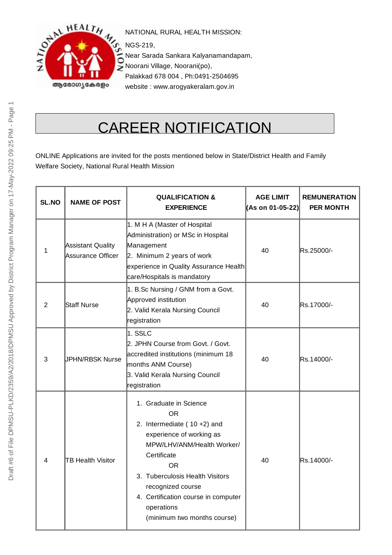

NATIONAL RURAL HEALTH MISSION:

NGS-219,

Near Sarada Sankara Kalyanamandapam, Noorani Village, Noorani(po), Palakkad 678 004 , Ph:0491-2504695 website : www.arogyakeralam.gov.in

## CAREER NOTIFICATION

ONLINE Applications are invited for the posts mentioned below in State/District Health and Family Welfare Society, National Rural Health Mission

| <b>SL.NO</b>   | <b>NAME OF POST</b>                    | <b>QUALIFICATION &amp;</b><br><b>EXPERIENCE</b>                                                                                                                                                                                                                                                | <b>AGE LIMIT</b><br>(As on 01-05-22) | <b>REMUNERATION</b><br><b>PER MONTH</b> |
|----------------|----------------------------------------|------------------------------------------------------------------------------------------------------------------------------------------------------------------------------------------------------------------------------------------------------------------------------------------------|--------------------------------------|-----------------------------------------|
| 1              | Assistant Quality<br>Assurance Officer | 1. M H A (Master of Hospital<br>Administration) or MSc in Hospital<br>Management<br>2. Minimum 2 years of work<br>experience in Quality Assurance Health<br>care/Hospitals is mandatory                                                                                                        | 40                                   | Rs.25000/-                              |
| $\overline{2}$ | Staff Nurse                            | 1. B.Sc Nursing / GNM from a Govt.<br>Approved institution<br>2. Valid Kerala Nursing Council<br>registration                                                                                                                                                                                  | 40                                   | Rs.17000/-                              |
| 3              | JPHN/RBSK Nurse                        | 1. SSLC<br>2. JPHN Course from Govt. / Govt.<br>accredited institutions (minimum 18<br>months ANM Course)<br>3. Valid Kerala Nursing Council<br>registration                                                                                                                                   | 40                                   | Rs.14000/-                              |
| 4              | TB Health Visitor                      | 1. Graduate in Science<br>OR<br>2. Intermediate $(10+2)$ and<br>experience of working as<br>MPW/LHV/ANM/Health Worker/<br>Certificate<br><b>OR</b><br>3. Tuberculosis Health Visitors<br>recognized course<br>4. Certification course in computer<br>operations<br>(minimum two months course) | 40                                   | Rs.14000/-                              |